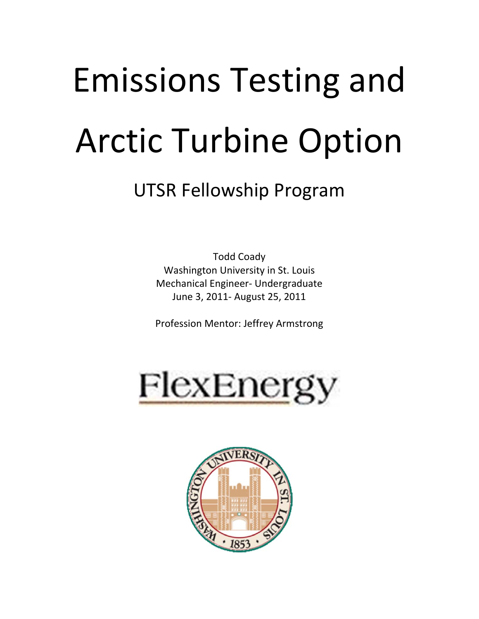# Emissions Testing and Arctic Turbine Option

## UTSR Fellowship Program

Todd Coady Washington University in St. Louis Mechanical Engineer‐ Undergraduate June 3, 2011‐ August 25, 2011

Profession Mentor: Jeffrey Armstrong



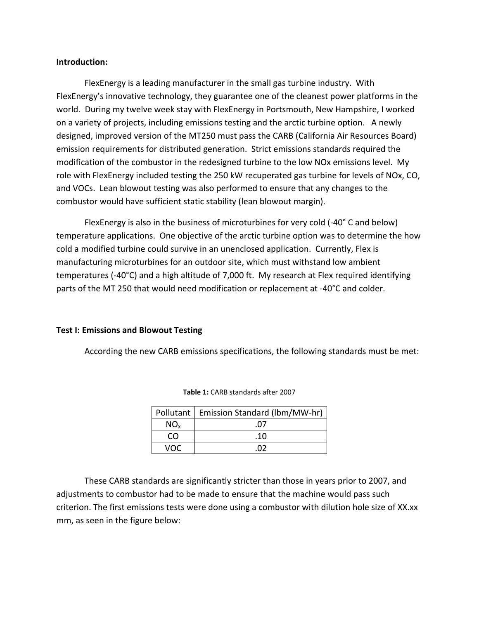#### **Introduction:**

FlexEnergy is a leading manufacturer in the small gas turbine industry. With FlexEnergy's innovative technology, they guarantee one of the cleanest power platforms in the world. During my twelve week stay with FlexEnergy in Portsmouth, New Hampshire, I worked on a variety of projects, including emissions testing and the arctic turbine option. A newly designed, improved version of the MT250 must pass the CARB (California Air Resources Board) emission requirements for distributed generation. Strict emissions standards required the modification of the combustor in the redesigned turbine to the low NOx emissions level. My role with FlexEnergy included testing the 250 kW recuperated gas turbine for levels of NOx, CO, and VOCs. Lean blowout testing was also performed to ensure that any changes to the combustor would have sufficient static stability (lean blowout margin).

FlexEnergy is also in the business of microturbines for very cold (‐40° C and below) temperature applications. One objective of the arctic turbine option was to determine the how cold a modified turbine could survive in an unenclosed application. Currently, Flex is manufacturing microturbines for an outdoor site, which must withstand low ambient temperatures (‐40°C) and a high altitude of 7,000 ft. My research at Flex required identifying parts of the MT 250 that would need modification or replacement at ‐40°C and colder.

#### **Test I: Emissions and Blowout Testing**

According the new CARB emissions specifications, the following standards must be met:

|      | Pollutant   Emission Standard (Ibm/MW-hr) |
|------|-------------------------------------------|
| NO.  | 07                                        |
| -CO. | .10                                       |
| vnr  | ΩD                                        |

**Table 1:** CARB standards after 2007

These CARB standards are significantly stricter than those in years prior to 2007, and adjustments to combustor had to be made to ensure that the machine would pass such criterion. The first emissions tests were done using a combustor with dilution hole size of XX.xx mm, as seen in the figure below: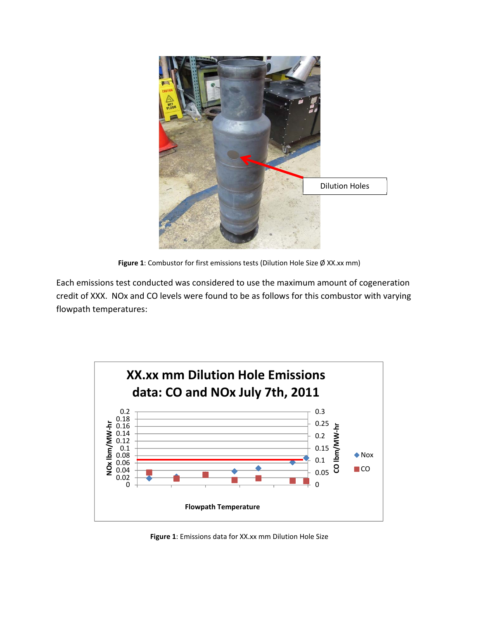

**Figure 1**: Combustor for first emissions tests (Dilution Hole Size Ø XX.xx mm)

Each emissions test conducted was considered to use the maximum amount of cogeneration credit of XXX. NOx and CO levels were found to be as follows for this combustor with varying flowpath temperatures:



**Figure 1**: Emissions data for XX.xx mm Dilution Hole Size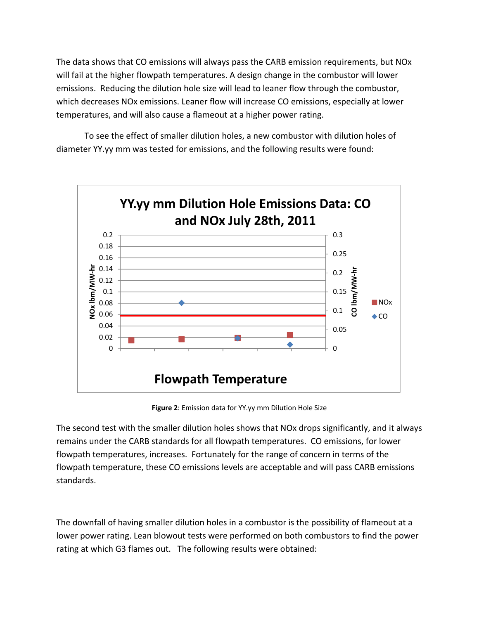The data shows that CO emissions will always pass the CARB emission requirements, but NOx will fail at the higher flowpath temperatures. A design change in the combustor will lower emissions. Reducing the dilution hole size will lead to leaner flow through the combustor, which decreases NOx emissions. Leaner flow will increase CO emissions, especially at lower temperatures, and will also cause a flameout at a higher power rating.

To see the effect of smaller dilution holes, a new combustor with dilution holes of diameter YY.yy mm was tested for emissions, and the following results were found:



**Figure 2**: Emission data for YY.yy mm Dilution Hole Size

The second test with the smaller dilution holes shows that NOx drops significantly, and it always remains under the CARB standards for all flowpath temperatures. CO emissions, for lower flowpath temperatures, increases. Fortunately for the range of concern in terms of the flowpath temperature, these CO emissions levels are acceptable and will pass CARB emissions standards.

The downfall of having smaller dilution holes in a combustor is the possibility of flameout at a lower power rating. Lean blowout tests were performed on both combustors to find the power rating at which G3 flames out. The following results were obtained: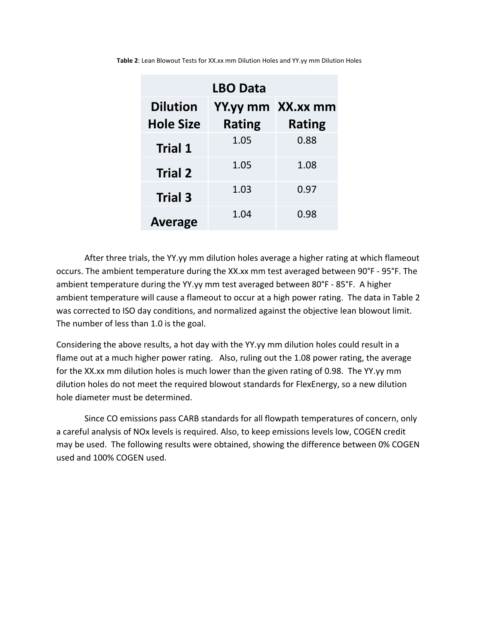| <b>LBO Data</b>  |               |               |  |
|------------------|---------------|---------------|--|
| <b>Dilution</b>  | YY.yy mm      | XX.xx mm      |  |
| <b>Hole Size</b> | <b>Rating</b> | <b>Rating</b> |  |
| <b>Trial 1</b>   | 1.05          | 0.88          |  |
| <b>Trial 2</b>   | 1.05          | 1.08          |  |
| <b>Trial 3</b>   | 1.03          | 0.97          |  |
| <b>Average</b>   | 1.04          | 0.98          |  |

**Table 2**: Lean Blowout Tests for XX.xx mm Dilution Holes and YY.yy mm Dilution Holes

After three trials, the YY.yy mm dilution holes average a higher rating at which flameout occurs. The ambient temperature during the XX.xx mm test averaged between 90°F ‐ 95°F. The ambient temperature during the YY.yy mm test averaged between 80°F ‐ 85°F. A higher ambient temperature will cause a flameout to occur at a high power rating. The data in Table 2 was corrected to ISO day conditions, and normalized against the objective lean blowout limit. The number of less than 1.0 is the goal.

Considering the above results, a hot day with the YY.yy mm dilution holes could result in a flame out at a much higher power rating. Also, ruling out the 1.08 power rating, the average for the XX.xx mm dilution holes is much lower than the given rating of 0.98. The YY.yy mm dilution holes do not meet the required blowout standards for FlexEnergy, so a new dilution hole diameter must be determined.

Since CO emissions pass CARB standards for all flowpath temperatures of concern, only a careful analysis of NOx levels is required. Also, to keep emissions levels low, COGEN credit may be used. The following results were obtained, showing the difference between 0% COGEN used and 100% COGEN used.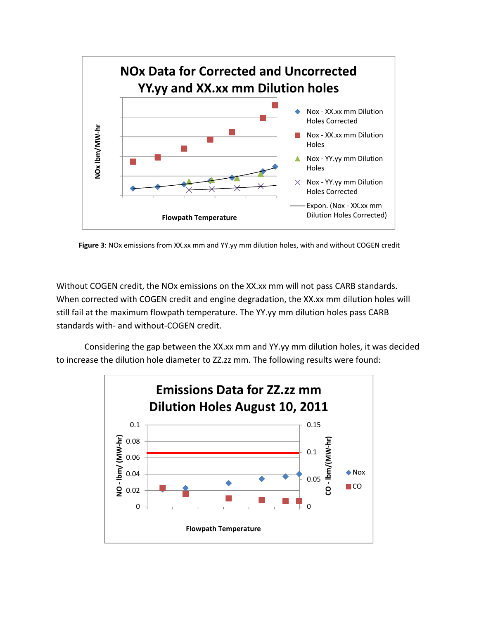

**Figure 3**: NOx emissions from XX.xx mm and YY.yy mm dilution holes, with and without COGEN credit

Without COGEN credit, the NOx emissions on the XX.xx mm will not pass CARB standards. When corrected with COGEN credit and engine degradation, the XX.xx mm dilution holes will still fail at the maximum flowpath temperature. The YY.yy mm dilution holes pass CARB standards with‐ and without‐COGEN credit.

Considering the gap between the XX.xx mm and YY.yy mm dilution holes, it was decided to increase the dilution hole diameter to ZZ.zz mm. The following results were found:

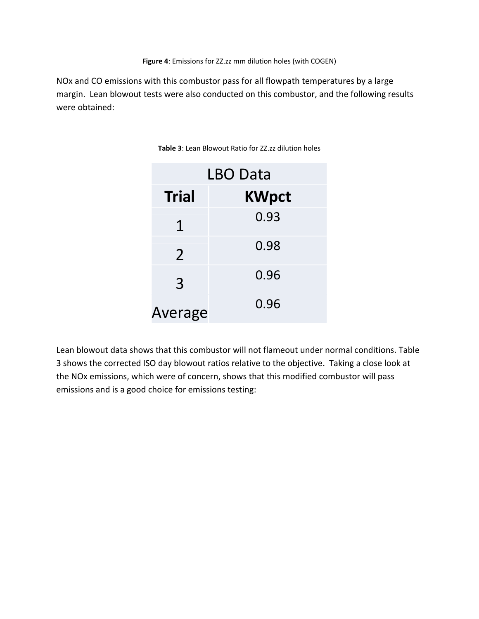NOx and CO emissions with this combustor pass for all flowpath temperatures by a large margin. Lean blowout tests were also conducted on this combustor, and the following results were obtained:

| LBO Data       |              |  |
|----------------|--------------|--|
| <b>Trial</b>   | <b>KWpct</b> |  |
| 1              | 0.93         |  |
| $\overline{2}$ | 0.98         |  |
| 3              | 0.96         |  |
| Average        | 0.96         |  |

**Table 3**: Lean Blowout Ratio for ZZ.zz dilution holes

Lean blowout data shows that this combustor will not flameout under normal conditions. Table 3 shows the corrected ISO day blowout ratios relative to the objective. Taking a close look at the NOx emissions, which were of concern, shows that this modified combustor will pass emissions and is a good choice for emissions testing: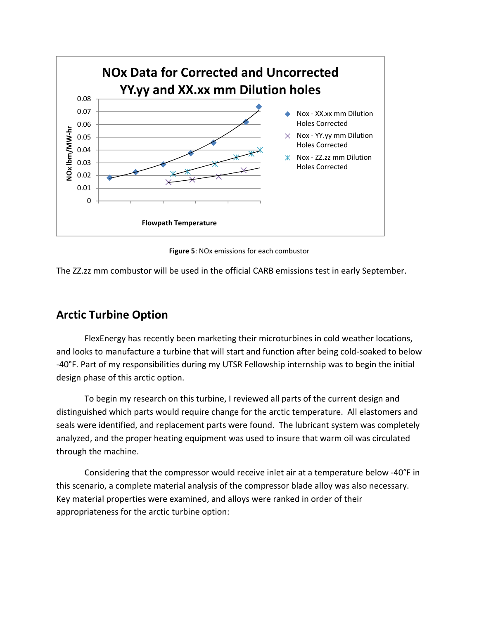

**Figure 5**: NOx emissions for each combustor

The ZZ.zz mm combustor will be used in the official CARB emissions test in early September.

### **Arctic Turbine Option**

FlexEnergy has recently been marketing their microturbines in cold weather locations, and looks to manufacture a turbine that will start and function after being cold‐soaked to below ‐40°F. Part of my responsibilities during my UTSR Fellowship internship was to begin the initial design phase of this arctic option.

To begin my research on this turbine, I reviewed all parts of the current design and distinguished which parts would require change for the arctic temperature. All elastomers and seals were identified, and replacement parts were found. The lubricant system was completely analyzed, and the proper heating equipment was used to insure that warm oil was circulated through the machine.

Considering that the compressor would receive inlet air at a temperature below ‐40°F in this scenario, a complete material analysis of the compressor blade alloy was also necessary. Key material properties were examined, and alloys were ranked in order of their appropriateness for the arctic turbine option: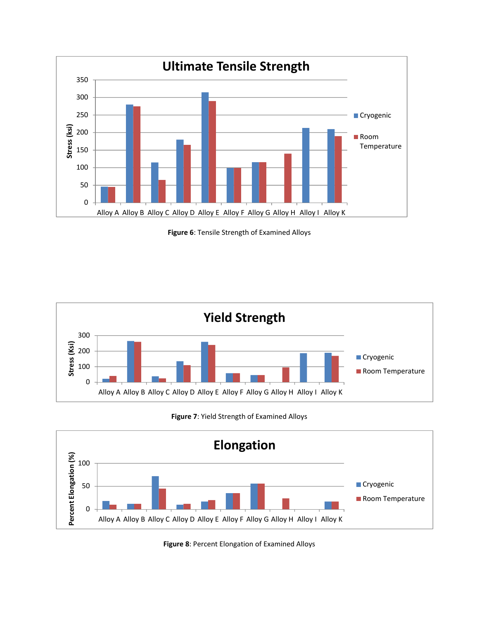

**Figure 6**: Tensile Strength of Examined Alloys



**Figure 7**: Yield Strength of Examined Alloys



**Figure 8**: Percent Elongation of Examined Alloys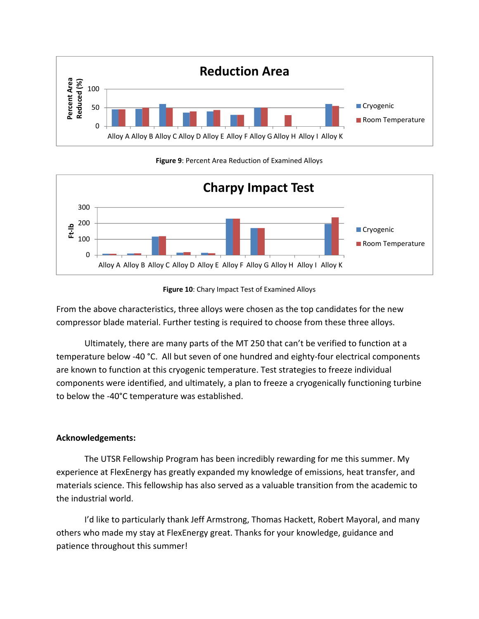

**Figure 9**: Percent Area Reduction of Examined Alloys



**Figure 10**: Chary Impact Test of Examined Alloys

From the above characteristics, three alloys were chosen as the top candidates for the new compressor blade material. Further testing is required to choose from these three alloys.

Ultimately, there are many parts of the MT 250 that can't be verified to function at a temperature below -40 °C. All but seven of one hundred and eighty-four electrical components are known to function at this cryogenic temperature. Test strategies to freeze individual components were identified, and ultimately, a plan to freeze a cryogenically functioning turbine to below the ‐40°C temperature was established.

#### **Acknowledgements:**

The UTSR Fellowship Program has been incredibly rewarding for me this summer. My experience at FlexEnergy has greatly expanded my knowledge of emissions, heat transfer, and materials science. This fellowship has also served as a valuable transition from the academic to the industrial world.

I'd like to particularly thank Jeff Armstrong, Thomas Hackett, Robert Mayoral, and many others who made my stay at FlexEnergy great. Thanks for your knowledge, guidance and patience throughout this summer!